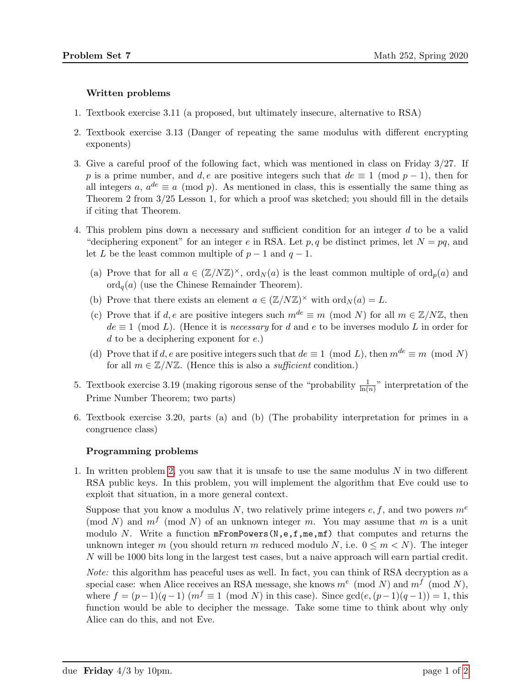## Written problems

- 1. Textbook exercise 3.11 (a proposed, but ultimately insecure, alternative to RSA)
- <span id="page-0-0"></span>2. Textbook exercise 3.13 (Danger of repeating the same modulus with different encrypting exponents)
- 3. Give a careful proof of the following fact, which was mentioned in class on Friday 3/27. If p is a prime number, and d, e are positive integers such that  $de \equiv 1 \pmod{p-1}$ , then for all integers a,  $a^{de} \equiv a \pmod{p}$ . As mentioned in class, this is essentially the same thing as Theorem 2 from 3/25 Lesson 1, for which a proof was sketched; you should fill in the details if citing that Theorem.
- 4. This problem pins down a necessary and sufficient condition for an integer d to be a valid "deciphering exponent" for an integer e in RSA. Let p, q be distinct primes, let  $N = pq$ , and let L be the least common multiple of  $p-1$  and  $q-1$ .
	- (a) Prove that for all  $a \in (\mathbb{Z}/N\mathbb{Z})^{\times}$ , ord $N(a)$  is the least common multiple of ord $p(a)$  and  $\operatorname{ord}_q(a)$  (use the Chinese Remainder Theorem).
	- (b) Prove that there exists an element  $a \in (\mathbb{Z}/N\mathbb{Z})^{\times}$  with  $\text{ord}_N(a) = L$ .
	- (c) Prove that if d, e are positive integers such  $m^{de} \equiv m \pmod{N}$  for all  $m \in \mathbb{Z}/N\mathbb{Z}$ , then  $de \equiv 1 \pmod{L}$ . (Hence it is *necessary* for d and e to be inverses modulo L in order for d to be a deciphering exponent for  $e$ .)
	- (d) Prove that if d, e are positive integers such that  $de \equiv 1 \pmod{L}$ , then  $m^{de} \equiv m \pmod{N}$ for all  $m \in \mathbb{Z}/N\mathbb{Z}$ . (Hence this is also a *sufficient* condition.)
- 5. Textbook exercise 3.19 (making rigorous sense of the "probability  $\frac{1}{\ln(n)}$ " interpretation of the Prime Number Theorem; two parts)
- 6. Textbook exercise 3.20, parts (a) and (b) (The probability interpretation for primes in a congruence class)

## Programming problems

1. In written problem [2,](#page-0-0) you saw that it is unsafe to use the same modulus N in two different RSA public keys. In this problem, you will implement the algorithm that Eve could use to exploit that situation, in a more general context.

Suppose that you know a modulus N, two relatively prime integers  $e, f$ , and two powers  $m<sup>e</sup>$ (mod N) and  $m<sup>f</sup>$  (mod N) of an unknown integer m. You may assume that m is a unit modulo N. Write a function  $mFromPowers(N, e, f, me, mf)$  that computes and returns the unknown integer m (you should return m reduced modulo N, i.e.  $0 \le m \le N$ ). The integer N will be 1000 bits long in the largest test cases, but a naive approach will earn partial credit.

Note: this algorithm has peaceful uses as well. In fact, you can think of RSA decryption as a special case: when Alice receives an RSA message, she knows  $m^e \pmod{N}$  and  $m^f \pmod{N}$ , where  $f = (p-1)(q-1)$   $(m^f \equiv 1 \pmod{N}$  in this case). Since  $gcd(e,(p-1)(q-1)) = 1$ , this function would be able to decipher the message. Take some time to think about why only Alice can do this, and not Eve.